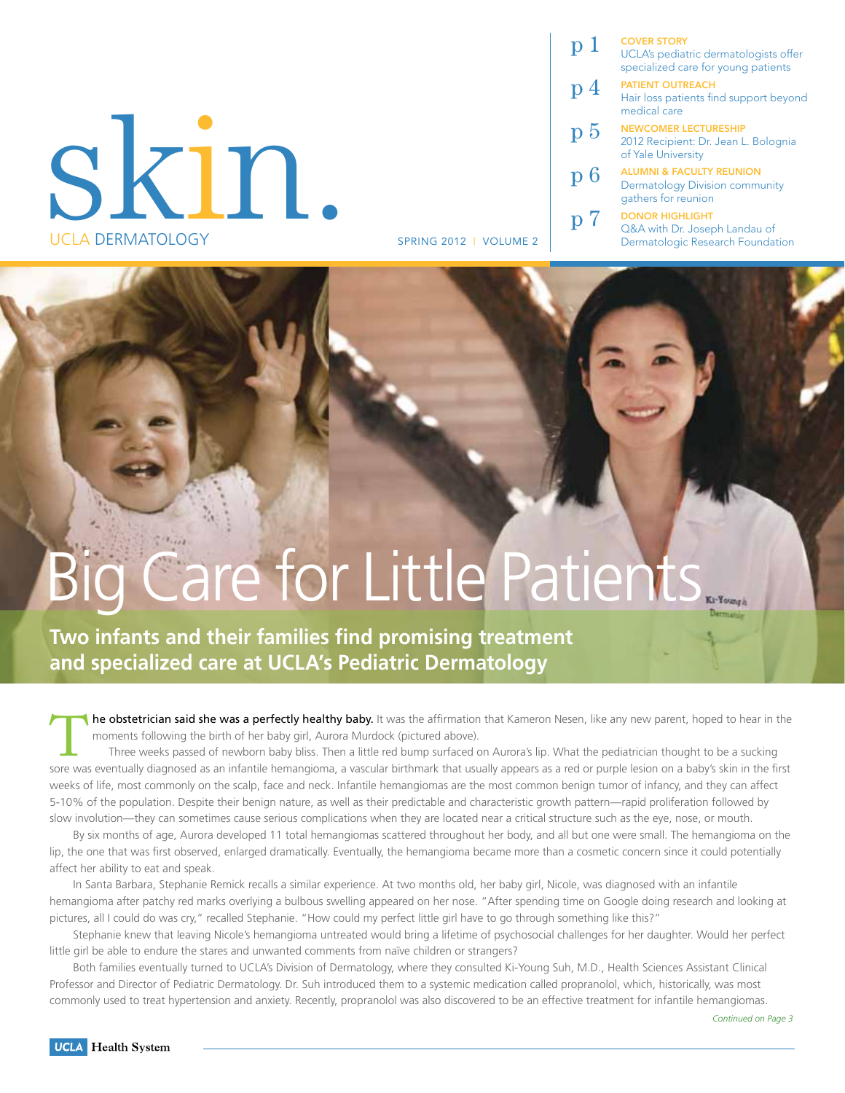# Skin. UCLA Dermatology

| p 1 | <b>COVER STORY</b><br>UCLA's pediatric dermatologists offer<br>specialized care for young patients  |
|-----|-----------------------------------------------------------------------------------------------------|
| р4  | <b>PATIENT OUTREACH</b><br>Hair loss patients find support beyond<br>medical care                   |
| p 5 | <b>NEWCOMER LECTURESHIP</b><br>2012 Recipient: Dr. Jean L. Bolognia<br>of Yale University           |
| p 6 | <b>ALUMNI &amp; FACULTY REUNION</b><br><b>Dermatology Division community</b><br>gathers for reunion |
|     | <b>DONOR HIGHLIGHT</b><br>Q&A with Dr. Joseph Landau of                                             |

spring 2012 | Volume 2 Dermatologic Research Foundation

# g Care for Little Patients.

**Two infants and their families find promising treatment and specialized care at UCLA's Pediatric Dermatology**

The obstetrician said she was a perfectly healthy baby. It was the affirmation that Kameron Nesen, like any new parent, hoped to hear in the<br>moments following the birth of her baby girl, Aurora Murdock (pictured above).<br>Th moments following the birth of her baby girl, Aurora Murdock (pictured above).

sore was eventually diagnosed as an infantile hemangioma, a vascular birthmark that usually appears as a red or purple lesion on a baby's skin in the first weeks of life, most commonly on the scalp, face and neck. Infantile hemangiomas are the most common benign tumor of infancy, and they can affect 5-10% of the population. Despite their benign nature, as well as their predictable and characteristic growth pattern—rapid proliferation followed by slow involution—they can sometimes cause serious complications when they are located near a critical structure such as the eye, nose, or mouth.

By six months of age, Aurora developed 11 total hemangiomas scattered throughout her body, and all but one were small. The hemangioma on the lip, the one that was first observed, enlarged dramatically. Eventually, the hemangioma became more than a cosmetic concern since it could potentially affect her ability to eat and speak.

In Santa Barbara, Stephanie Remick recalls a similar experience. At two months old, her baby girl, Nicole, was diagnosed with an infantile hemangioma after patchy red marks overlying a bulbous swelling appeared on her nose. "After spending time on Google doing research and looking at pictures, all I could do was cry," recalled Stephanie. "How could my perfect little girl have to go through something like this?"

Stephanie knew that leaving Nicole's hemangioma untreated would bring a lifetime of psychosocial challenges for her daughter. Would her perfect little girl be able to endure the stares and unwanted comments from naïve children or strangers?

Both families eventually turned to UCLA's Division of Dermatology, where they consulted Ki-Young Suh, M.D., Health Sciences Assistant Clinical Professor and Director of Pediatric Dermatology. Dr. Suh introduced them to a systemic medication called propranolol, which, historically, was most commonly used to treat hypertension and anxiety. Recently, propranolol was also discovered to be an effective treatment for infantile hemangiomas.

*Continued on Page 3*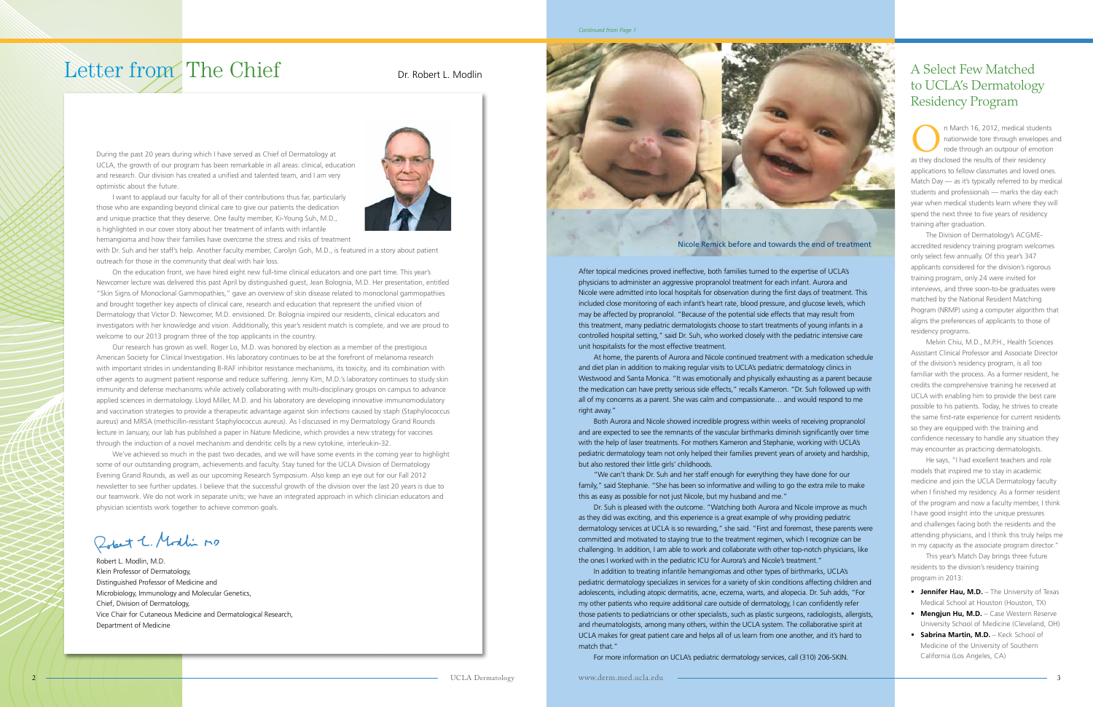

### to UCLA's Dermatology Residency Program

In March 16, 2012, medical students<br>
nationwide tore through envelopes a<br>
rode through an outpour of emotion nationwide tore through envelopes and rode through an outpour of emotion as they disclosed the results of their residency applications to fellow classmates and loved ones. Match Day — as it's typically referred to by medical students and professionals — marks the day each year when medical students learn where they will spend the next three to five years of residency training after graduation.

 The Division of Dermatology's ACGMEaccredited residency training program welcomes only select few annually. Of this year's 347 applicants considered for the division's rigorous training program, only 24 were invited for interviews, and three soon-to-be graduates were matched by the National Resident Matching Program (NRMP) using a computer algorithm that aligns the preferences of applicants to those of residency programs.

- **Jennifer Hau, M.D.** The University of Texas Medical School at Houston (Houston, TX)
- **Mengjun Hu, M.D.** Case Western Reserve University School of Medicine (Cleveland, OH)
- **Sabrina Martin, M.D.** Keck School of Medicine of the University of Southern California (Los Angeles, CA)

 Melvin Chiu, M.D., M.P.H., Health Sciences Assistant Clinical Professor and Associate Director of the division's residency program, is all too familiar with the process. As a former resident, he credits the comprehensive training he received at UCLA with enabling him to provide the best care possible to his patients. Today, he strives to create the same first-rate experience for current residents so they are equipped with the training and confidence necessary to handle any situation they may encounter as practicing dermatologists.

He says, "I had excellent teachers and role models that inspired me to stay in academic medicine and join the UCLA Dermatology faculty when I finished my residency. As a former resident of the program and now a faculty member, I think I have good insight into the unique pressures and challenges facing both the residents and the attending physicians, and I think this truly helps me in my capacity as the associate program director."

 This year's Match Day brings three future residents to the division's residency training program in 2013:

#### *Continued from Page 1*

### Letter from The Chief

During the past 20 years during which I have served as Chief of Dermatology at UCLA, the growth of our program has been remarkable in all areas: clinical, education and research. Our division has created a unified and talented team, and I am very optimistic about the future.

I want to applaud our faculty for all of their contributions thus far, particularly those who are expanding beyond clinical care to give our patients the dedication and unique practice that they deserve. One faulty member, Ki-Young Suh, M.D., is highlighted in our cover story about her treatment of infants with infantile hemangioma and how their families have overcome the stress and risks of treatment



with Dr. Suh and her staff's help. Another faculty member, Carolyn Goh, M.D., is featured in a story about patient outreach for those in the community that deal with hair loss.

On the education front, we have hired eight new full-time clinical educators and one part time. This year's Newcomer lecture was delivered this past April by distinguished guest, Jean Bolognia, M.D. Her presentation, entitled "Skin Signs of Monoclonal Gammopathies," gave an overview of skin disease related to monoclonal gammopathies and brought together key aspects of clinical care, research and education that represent the unified vision of Dermatology that Victor D. Newcomer, M.D. envisioned. Dr. Bolognia inspired our residents, clinical educators and investigators with her knowledge and vision. Additionally, this year's resident match is complete, and we are proud to welcome to our 2013 program three of the top applicants in the country.

Our research has grown as well. Roger Lo, M.D. was honored by election as a member of the prestigious American Society for Clinical Investigation. His laboratory continues to be at the forefront of melanoma research with important strides in understanding B-RAF inhibitor resistance mechanisms, its toxicity, and its combination with other agents to augment patient response and reduce suffering. Jenny Kim, M.D.'s laboratory continues to study skin immunity and defense mechanisms while actively collaborating with multi-disciplinary groups on campus to advance applied sciences in dermatology. Lloyd Miller, M.D. and his laboratory are developing innovative immunomodulatory and vaccination strategies to provide a therapeutic advantage against skin infections caused by staph (Staphylococcus aureus) and MRSA (methicillin-resistant Staphylococcus aureus). As I discussed in my Dermatology Grand Rounds lecture in January, our lab has published a paper in Nature Medicine, which provides a new strategy for vaccines through the induction of a novel mechanism and dendritic cells by a new cytokine, interleukin-32.

We've achieved so much in the past two decades, and we will have some events in the coming year to highlight some of our outstanding program, achievements and faculty. Stay tuned for the UCLA Division of Dermatology Evening Grand Rounds, as well as our upcoming Research Symposium. Also keep an eye out for our Fall 2012 newsletter to see further updates. I believe that the successful growth of the division over the last 20 years is due to our teamwork. We do not work in separate units; we have an integrated approach in which clinician educators and physician scientists work together to achieve common goals.

Robert C. Modlin no

Robert L. Modlin, M.D. Klein Professor of Dermatology, Distinguished Professor of Medicine and Microbiology, Immunology and Molecular Genetics, Chief, Division of Dermatology, Vice Chair for Cutaneous Medicine and Dermatological Research, Department of Medicine

After topical medicines proved ineffective, both families turned to the expertise of UCLA's physicians to administer an aggressive propranolol treatment for each infant. Aurora and Nicole were admitted into local hospitals for observation during the first days of treatment. This included close monitoring of each infant's heart rate, blood pressure, and glucose levels, which may be affected by propranolol. "Because of the potential side effects that may result from this treatment, many pediatric dermatologists choose to start treatments of young infants in a controlled hospital setting," said Dr. Suh, who worked closely with the pediatric intensive care unit hospitalists for the most effective treatment.

At home, the parents of Aurora and Nicole continued treatment with a medication schedule and diet plan in addition to making regular visits to UCLA's pediatric dermatology clinics in Westwood and Santa Monica. "It was emotionally and physically exhausting as a parent because the medication can have pretty serious side effects," recalls Kameron. "Dr. Suh followed up with all of my concerns as a parent. She was calm and compassionate… and would respond to me right away."

Both Aurora and Nicole showed incredible progress within weeks of receiving propranolol and are expected to see the remnants of the vascular birthmarks diminish significantly over time with the help of laser treatments. For mothers Kameron and Stephanie, working with UCLA's pediatric dermatology team not only helped their families prevent years of anxiety and hardship, but also restored their little girls' childhoods.

"We can't thank Dr. Suh and her staff enough for everything they have done for our family," said Stephanie. "She has been so informative and willing to go the extra mile to make this as easy as possible for not just Nicole, but my husband and me."

Dr. Suh is pleased with the outcome. "Watching both Aurora and Nicole improve as much as they did was exciting, and this experience is a great example of why providing pediatric dermatology services at UCLA is so rewarding," she said. "First and foremost, these parents were committed and motivated to staying true to the treatment regimen, which I recognize can be challenging. In addition, I am able to work and collaborate with other top-notch physicians, like the ones I worked with in the pediatric ICU for Aurora's and Nicole's treatment."

In addition to treating infantile hemangiomas and other types of birthmarks, UCLA's pediatric dermatology specializes in services for a variety of skin conditions affecting children and adolescents, including atopic dermatitis, acne, eczema, warts, and alopecia. Dr. Suh adds, "For my other patients who require additional care outside of dermatology, I can confidently refer those patients to pediatricians or other specialists, such as plastic surgeons, radiologists, allergists, and rheumatologists, among many others, within the UCLA system. The collaborative spirit at UCLA makes for great patient care and helps all of us learn from one another, and it's hard to match that."

For more information on UCLA's pediatric dermatology services, call (310) 206-SKIN.

Nicole Remick before and towards the end of treatment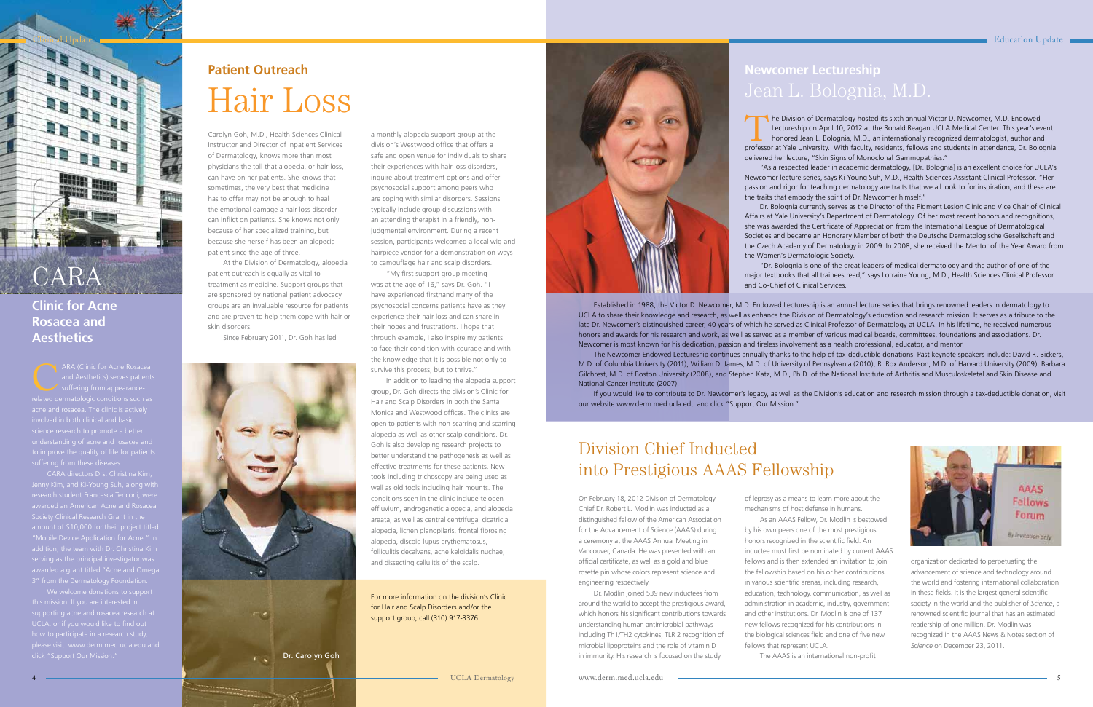## **Patient Outreach**  Hair Loss



### Division Chief Inducted into Prestigious AAAS Fellowship

# **Newcomer Lectureship**

# CARA

**Clinic for Acne Rosacea and Aesthetics**

ARA (Clinic for Acne Rosacea<br>and Aesthetics) serves patients<br>suffering from appearancerelated dermatologic conditions such as science research to promote a better understanding of acne and rosacea and

CARA directors Drs. Christina Kim, Society Clinical Research Grant in the

We welcome donations to support how to participate in a research study, please visit: www.derm.med.ucla.edu and click "Support Our Mission."

On February 18, 2012 Division of Dermatology Chief Dr. Robert L. Modlin was inducted as a distinguished fellow of the American Association for the Advancement of Science (AAAS) during a ceremony at the AAAS Annual Meeting in Vancouver, Canada. He was presented with an official certificate, as well as a gold and blue rosette pin whose colors represent science and engineering respectively.

Dr. Modlin joined 539 new inductees from around the world to accept the prestigious award, which honors his significant contributions towards understanding human antimicrobial pathways including Th1/TH2 cytokines, TLR 2 recognition of microbial lipoproteins and the role of vitamin D in immunity. His research is focused on the study

of leprosy as a means to learn more about the mechanisms of host defense in humans. As an AAAS Fellow, Dr. Modlin is bestowed by his own peers one of the most prestigious honors recognized in the scientific field. An inductee must first be nominated by current AAAS fellows and is then extended an invitation to join the fellowship based on his or her contributions in various scientific arenas, including research, education, technology, communication, as well as administration in academic, industry, government and other institutions. Dr. Modlin is one of 137 new fellows recognized for his contributions in the biological sciences field and one of five new fellows that represent UCLA.

The AAAS is an international non-profit

organization dedicated to perpetuating the advancement of science and technology around the world and fostering international collaboration in these fields. It is the largest general scientific society in the world and the publisher of *Science*, a renowned scientific journal that has an estimated readership of one million. Dr. Modlin was recognized in the AAAS News & Notes section of *Science* on December 23, 2011.

Carolyn Goh, M.D., Health Sciences Clinical Instructor and Director of Inpatient Services of Dermatology, knows more than most physicians the toll that alopecia, or hair loss, can have on her patients. She knows that sometimes, the very best that medicine has to offer may not be enough to heal the emotional damage a hair loss disorder can inflict on patients. She knows not only because of her specialized training, but because she herself has been an alopecia patient since the age of three.

At the Division of Dermatology, alopecia patient outreach is equally as vital to treatment as medicine. Support groups that are sponsored by national patient advocacy groups are an invaluable resource for patients and are proven to help them cope with hair or skin disorders.

The Division of Dermatology hosted its sixth annual Victor D. Newcomer, M.D. Endowed<br>Lectureship on April 10, 2012 at the Ronald Reagan UCLA Medical Center. This year's eve<br>honored Jean L. Bolognia, M.D., an internationall Lectureship on April 10, 2012 at the Ronald Reagan UCLA Medical Center. This year's event professor at Yale University. With faculty, residents, fellows and students in attendance, Dr. Bolognia delivered her lecture, "Skin Signs of Monoclonal Gammopathies."

Since February 2011, Dr. Goh has led

a monthly alopecia support group at the division's Westwood office that offers a safe and open venue for individuals to share their experiences with hair loss disorders, inquire about treatment options and offer psychosocial support among peers who are coping with similar disorders. Sessions typically include group discussions with an attending therapist in a friendly, nonjudgmental environment. During a recent session, participants welcomed a local wig and hairpiece vendor for a demonstration on ways to camouflage hair and scalp disorders.

"My first support group meeting was at the age of 16," says Dr. Goh. "I have experienced firsthand many of the psychosocial concerns patients have as they experience their hair loss and can share in their hopes and frustrations. I hope that through example, I also inspire my patients to face their condition with courage and with the knowledge that it is possible not only to survive this process, but to thrive."

In addition to leading the alopecia support group, Dr. Goh directs the division's Clinic for Hair and Scalp Disorders in both the Santa Monica and Westwood offices. The clinics are open to patients with non-scarring and scarring alopecia as well as other scalp conditions. Dr. Goh is also developing research projects to better understand the pathogenesis as well as effective treatments for these patients. New tools including trichoscopy are being used as well as old tools including hair mounts. The conditions seen in the clinic include telogen effluvium, androgenetic alopecia, and alopecia areata, as well as central centrifugal cicatricial alopecia, lichen planopilaris, frontal fibrosing alopecia, discoid lupus erythematosus, folliculitis decalvans, acne keloidalis nuchae, and dissecting cellulitis of the scalp.

For more information on the division's Clinic for Hair and Scalp Disorders and/or the support group, call (310) 917-3376.



UCLA Dermatology



 Established in 1988, the Victor D. Newcomer, M.D. Endowed Lectureship is an annual lecture series that brings renowned leaders in dermatology to UCLA to share their knowledge and research, as well as enhance the Division of Dermatology's education and research mission. It serves as a tribute to the late Dr. Newcomer's distinguished career, 40 years of which he served as Clinical Professor of Dermatology at UCLA. In his lifetime, he received numerous honors and awards for his research and work, as well as served as a member of various medical boards, committees, foundations and associations. Dr. Newcomer is most known for his dedication, passion and tireless involvement as a health professional, educator, and mentor.

 The Newcomer Endowed Lectureship continues annually thanks to the help of tax-deductible donations. Past keynote speakers include: David R. Bickers, M.D. of Columbia University (2011), William D. James, M.D. of University of Pennsylvania (2010), R. Rox Anderson, M.D. of Harvard University (2009), Barbara Gilchrest, M.D. of Boston University (2008), and Stephen Katz, M.D., Ph.D. of the National Institute of Arthritis and Musculoskeletal and Skin Disease and National Cancer Institute (2007).

If you would like to contribute to Dr. Newcomer's legacy, as well as the Division's education and research mission through a tax-deductible donation, visit our website www.derm.med.ucla.edu and click "Support Our Mission."

"As a respected leader in academic dermatology, [Dr. Bolognia] is an excellent choice for UCLA's Newcomer lecture series, says Ki-Young Suh, M.D., Health Sciences Assistant Clinical Professor. "Her passion and rigor for teaching dermatology are traits that we all look to for inspiration, and these are the traits that embody the spirit of Dr. Newcomer himself."

Dr. Bolognia currently serves as the Director of the Pigment Lesion Clinic and Vice Chair of Clinical Affairs at Yale University's Department of Dermatology. Of her most recent honors and recognitions, she was awarded the Certificate of Appreciation from the International League of Dermatological Societies and became an Honorary Member of both the Deutsche Dermatologische Gesellschaft and the Czech Academy of Dermatology in 2009. In 2008, she received the Mentor of the Year Award from the Women's Dermatologic Society.

"Dr. Bolognia is one of the great leaders of medical dermatology and the author of one of the major textbooks that all trainees read," says Lorraine Young, M.D., Health Sciences Clinical Professor and Co-Chief of Clinical Services.

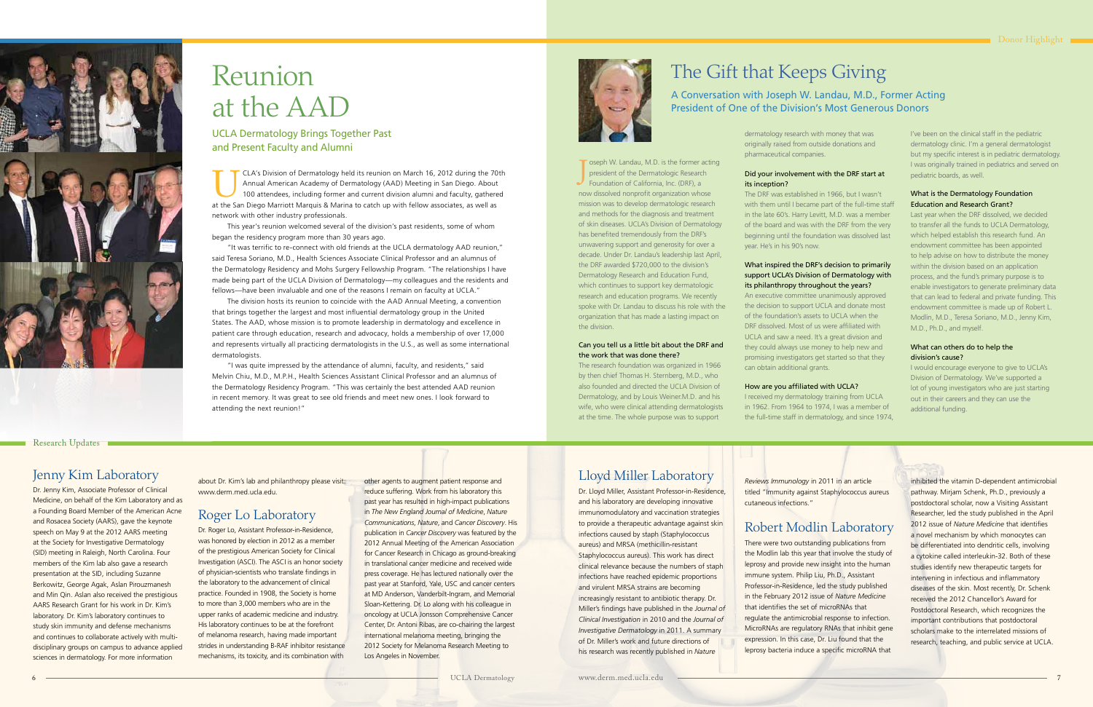

## Reunion at the AAD

UCLA Dermatology Brings Together Past and Present Faculty and Alumni

### The Gift that Keeps Giving

#### A Conversation with Joseph W. Landau, M.D., Former Acting President of One of the Division's Most Generous Donors

J

oseph W. Landau, M.D. is the former acting president of the Dermatologic Research Foundation of California, Inc. (DRF), a now dissolved nonprofit organization whose mission was to develop dermatologic research and methods for the diagnosis and treatment of skin diseases. UCLA's Division of Dermatology has benefited tremendously from the DRF's unwavering support and generosity for over a decade. Under Dr. Landau's leadership last April, the DRF awarded \$720,000 to the division's Dermatology Research and Education Fund, which continues to support key dermatologic research and education programs. We recently spoke with Dr. Landau to discuss his role with the organization that has made a lasting impact on

the division.

Can you tell us a little bit about the DRF and

the work that was done there?

The research foundation was organized in 1966 by then chief Thomas H. Sternberg, M.D., who also founded and directed the UCLA Division of Dermatology, and by Louis Weiner.M.D. and his wife, who were clinical attending dermatologists at the time. The whole purpose was to support

dermatology research with money that was originally raised from outside donations and pharmaceutical companies.

#### Did your involvement with the DRF start at its inception?

The DRF was established in 1966, but I wasn't with them until I became part of the full-time staff in the late 60's. Harry Levitt, M.D. was a member of the board and was with the DRF from the very beginning until the foundation was dissolved last year. He's in his 90's now.

#### What inspired the DRF's decision to primarily support UCLA's Division of Dermatology with its philanthropy throughout the years?

An executive committee unanimously approved the decision to support UCLA and donate most of the foundation's assets to UCLA when the DRF dissolved. Most of us were affiliated with UCLA and saw a need. It's a great division and they could always use money to help new and promising investigators get started so that they can obtain additional grants.

#### How are you affiliated with UCLA?

I received my dermatology training from UCLA in 1962. From 1964 to 1974, I was a member of the full-time staff in dermatology, and since 1974, I've been on the clinical staff in the pediatric dermatology clinic. I'm a general dermatologist but my specific interest is in pediatric dermatology. I was originally trained in pediatrics and served on pediatric boards, as well.

#### What is the Dermatology Foundation Education and Research Grant?

Last year when the DRF dissolved, we decided to transfer all the funds to UCLA Dermatology, which helped establish this research fund. An endowment committee has been appointed to help advise on how to distribute the money within the division based on an application process, and the fund's primary purpose is to enable investigators to generate preliminary data that can lead to federal and private funding. This endowment committee is made up of Robert L. Modlin, M.D., Teresa Soriano, M.D., Jenny Kim, M.D., Ph.D., and myself.

#### What can others do to help the division's cause?

I would encourage everyone to give to UCLA's Division of Dermatology. We've supported a lot of young investigators who are just starting out in their careers and they can use the additional funding.

#### Jenny Kim Laboratory

Dr. Jenny Kim, Associate Professor of Clinical Medicine, on behalf of the Kim Laboratory and as a Founding Board Member of the American Acne and Rosacea Society (AARS), gave the keynote speech on May 9 at the 2012 AARS meeting at the Society for Investigative Dermatology (SID) meeting in Raleigh, North Carolina. Four members of the Kim lab also gave a research presentation at the SID, including Suzanne Berkowitz, George Agak, Aslan Pirouzmanesh and Min Qin. Aslan also received the prestigious AARS Research Grant for his work in Dr. Kim's laboratory. Dr. Kim's laboratory continues to study skin immunity and defense mechanisms and continues to collaborate actively with multidisciplinary groups on campus to advance applied sciences in dermatology. For more information

about Dr. Kim's lab and philanthropy please visit: www.derm.med.ucla.edu.

### Roger Lo Laboratory

Dr. Roger Lo, Assistant Professor-in-Residence, was honored by election in 2012 as a member of the prestigious American Society for Clinical Investigation (ASCI). The ASCI is an honor society of physician-scientists who translate findings in the laboratory to the advancement of clinical practice. Founded in 1908, the Society is home to more than 3,000 members who are in the upper ranks of academic medicine and industry. His laboratory continues to be at the forefront of melanoma research, having made important strides in understanding B-RAF inhibitor resistance mechanisms, its toxicity, and its combination with

other agents to augment patient response and reduce suffering. Work from his laboratory this past year has resulted in high-impact publications in *The New England Journal of Medicine*, *Nature Communications*, *Nature*, and *Cancer Discovery*. His publication in *Cancer Discovery* was featured by the 2012 Annual Meeting of the American Association for Cancer Research in Chicago as ground-breaking in translational cancer medicine and received wide press coverage. He has lectured nationally over the past year at Stanford, Yale, USC and cancer centers at MD Anderson, Vanderbilt-Ingram, and Memorial Sloan-Kettering. Dr. Lo along with his colleague in oncology at UCLA Jonsson Comprehensive Cancer Center, Dr. Antoni Ribas, are co-chairing the largest international melanoma meeting, bringing the 2012 Society for Melanoma Research Meeting to Los Angeles in November.

#### Lloyd Miller Laboratory

Dr. Lloyd Miller, Assistant Professor-in-Residence, and his laboratory are developing innovative immunomodulatory and vaccination strategies to provide a therapeutic advantage against skin infections caused by staph (Staphylococcus aureus) and MRSA (methicillin-resistant Staphylococcus aureus). This work has direct clinical relevance because the numbers of staph infections have reached epidemic proportions and virulent MRSA strains are becoming increasingly resistant to antibiotic therapy. Dr. Miller's findings have published in the *Journal of Clinical Investigation* in 2010 and the *Journal of Investigative Dermatology* in 2011. A summary of Dr. Miller's work and future directions of his research was recently published in *Nature* 

*Reviews Immunology* in 2011 in an article titled "Immunity against Staphylococcus aureus cutaneous infections."

### Robert Modlin Laboratory

There were two outstanding publications from the Modlin lab this year that involve the study of leprosy and provide new insight into the human immune system. Philip Liu, Ph.D., Assistant Professor-in-Residence, led the study published in the February 2012 issue of *Nature Medicine* that identifies the set of microRNAs that regulate the antimicrobial response to infection. MicroRNAs are regulatory RNAs that inhibit gene expression. In this case, Dr. Liu found that the leprosy bacteria induce a specific microRNA that

inhibited the vitamin D-dependent antimicrobial pathway. Mirjam Schenk, Ph.D., previously a postdoctoral scholar, now a Visiting Assistant Researcher, led the study published in the April 2012 issue of *Nature Medicine* that identifies a novel mechanism by which monocytes can be differentiated into dendritic cells, involving a cytokine called interleukin-32. Both of these studies identify new therapeutic targets for intervening in infectious and inflammatory diseases of the skin. Most recently, Dr. Schenk received the 2012 Chancellor's Award for Postdoctoral Research, which recognizes the important contributions that postdoctoral scholars make to the interrelated missions of research, teaching, and public service at UCLA.

UCLA's Division of Dermatology held its reunion on March 16, 2012 during the 70th Annual American Academy of Dermatology (AAD) Meeting in San Diego. About 100 attendees, including former and current division alumni and faculty, gathered at the San Diego Marriott Marquis & Marina to catch up with fellow associates, as well as network with other industry professionals.

 This year's reunion welcomed several of the division's past residents, some of whom began the residency program more than 30 years ago.

"It was terrific to re-connect with old friends at the UCLA dermatology AAD reunion," said Teresa Soriano, M.D., Health Sciences Associate Clinical Professor and an alumnus of the Dermatology Residency and Mohs Surgery Fellowship Program. "The relationships I have made being part of the UCLA Division of Dermatology—my colleagues and the residents and fellows—have been invaluable and one of the reasons I remain on faculty at UCLA."

 The division hosts its reunion to coincide with the AAD Annual Meeting, a convention that brings together the largest and most influential dermatology group in the United States. The AAD, whose mission is to promote leadership in dermatology and excellence in patient care through education, research and advocacy, holds a membership of over 17,000 and represents virtually all practicing dermatologists in the U.S., as well as some international dermatologists.

"I was quite impressed by the attendance of alumni, faculty, and residents," said Melvin Chiu, M.D., M.P.H., Health Sciences Assistant Clinical Professor and an alumnus of the Dermatology Residency Program. "This was certainly the best attended AAD reunion in recent memory. It was great to see old friends and meet new ones. I look forward to attending the next reunion!"



#### Research Updates